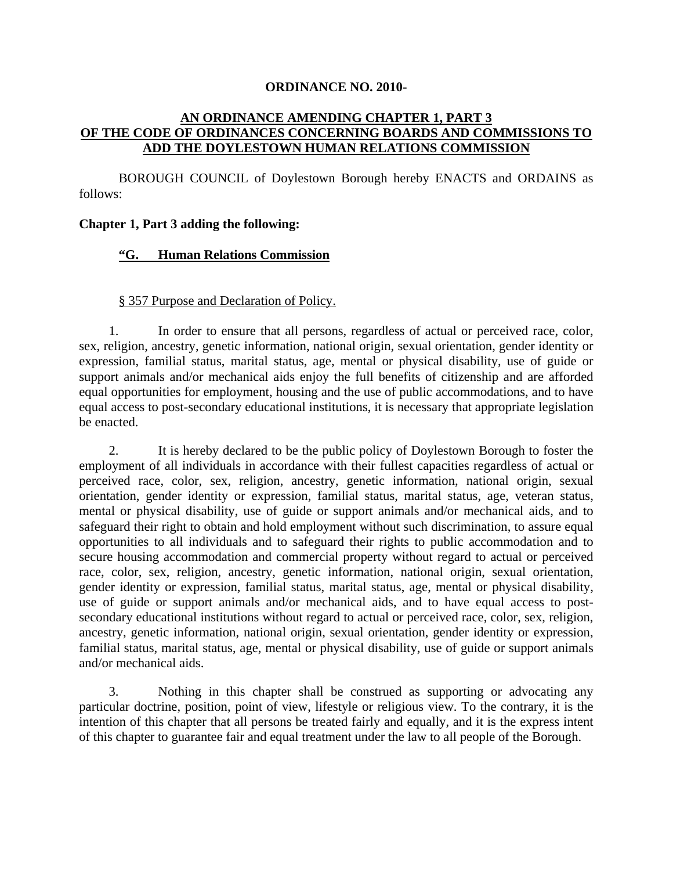#### **ORDINANCE NO. 2010-**

## **AN ORDINANCE AMENDING CHAPTER 1, PART 3 OF THE CODE OF ORDINANCES CONCERNING BOARDS AND COMMISSIONS TO ADD THE DOYLESTOWN HUMAN RELATIONS COMMISSION**

BOROUGH COUNCIL of Doylestown Borough hereby ENACTS and ORDAINS as follows:

### **Chapter 1, Part 3 adding the following:**

## **"G. Human Relations Commission**

### § 357 Purpose and Declaration of Policy.

1. In order to ensure that all persons, regardless of actual or perceived race, color, sex, religion, ancestry, genetic information, national origin, sexual orientation, gender identity or expression, familial status, marital status, age, mental or physical disability, use of guide or support animals and/or mechanical aids enjoy the full benefits of citizenship and are afforded equal opportunities for employment, housing and the use of public accommodations, and to have equal access to post-secondary educational institutions, it is necessary that appropriate legislation be enacted.

2. It is hereby declared to be the public policy of Doylestown Borough to foster the employment of all individuals in accordance with their fullest capacities regardless of actual or perceived race, color, sex, religion, ancestry, genetic information, national origin, sexual orientation, gender identity or expression, familial status, marital status, age, veteran status, mental or physical disability, use of guide or support animals and/or mechanical aids, and to safeguard their right to obtain and hold employment without such discrimination, to assure equal opportunities to all individuals and to safeguard their rights to public accommodation and to secure housing accommodation and commercial property without regard to actual or perceived race, color, sex, religion, ancestry, genetic information, national origin, sexual orientation, gender identity or expression, familial status, marital status, age, mental or physical disability, use of guide or support animals and/or mechanical aids, and to have equal access to postsecondary educational institutions without regard to actual or perceived race, color, sex, religion, ancestry, genetic information, national origin, sexual orientation, gender identity or expression, familial status, marital status, age, mental or physical disability, use of guide or support animals and/or mechanical aids.

3. Nothing in this chapter shall be construed as supporting or advocating any particular doctrine, position, point of view, lifestyle or religious view. To the contrary, it is the intention of this chapter that all persons be treated fairly and equally, and it is the express intent of this chapter to guarantee fair and equal treatment under the law to all people of the Borough.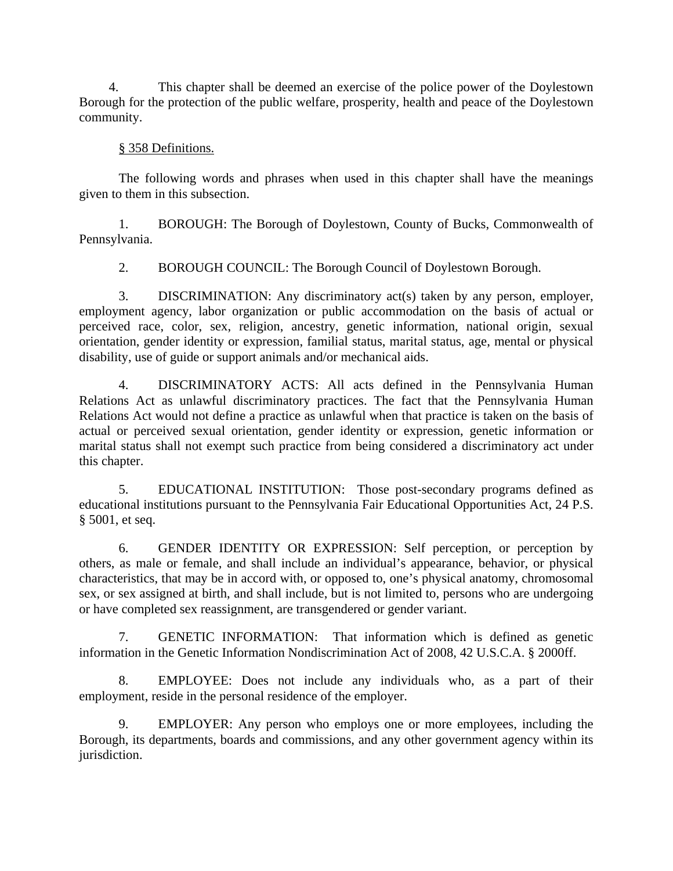4. This chapter shall be deemed an exercise of the police power of the Doylestown Borough for the protection of the public welfare, prosperity, health and peace of the Doylestown community.

## § 358 Definitions.

The following words and phrases when used in this chapter shall have the meanings given to them in this subsection.

1. BOROUGH: The Borough of Doylestown, County of Bucks, Commonwealth of Pennsylvania.

2. BOROUGH COUNCIL: The Borough Council of Doylestown Borough.

3. DISCRIMINATION: Any discriminatory act(s) taken by any person, employer, employment agency, labor organization or public accommodation on the basis of actual or perceived race, color, sex, religion, ancestry, genetic information, national origin, sexual orientation, gender identity or expression, familial status, marital status, age, mental or physical disability, use of guide or support animals and/or mechanical aids.

4. DISCRIMINATORY ACTS: All acts defined in the Pennsylvania Human Relations Act as unlawful discriminatory practices. The fact that the Pennsylvania Human Relations Act would not define a practice as unlawful when that practice is taken on the basis of actual or perceived sexual orientation, gender identity or expression, genetic information or marital status shall not exempt such practice from being considered a discriminatory act under this chapter.

5. EDUCATIONAL INSTITUTION: Those post-secondary programs defined as educational institutions pursuant to the Pennsylvania Fair Educational Opportunities Act, 24 P.S. § 5001, et seq.

6. GENDER IDENTITY OR EXPRESSION: Self perception, or perception by others, as male or female, and shall include an individual's appearance, behavior, or physical characteristics, that may be in accord with, or opposed to, one's physical anatomy, chromosomal sex, or sex assigned at birth, and shall include, but is not limited to, persons who are undergoing or have completed sex reassignment, are transgendered or gender variant.

7. GENETIC INFORMATION: That information which is defined as genetic information in the Genetic Information Nondiscrimination Act of 2008, 42 U.S.C.A. § 2000ff.

8. EMPLOYEE: Does not include any individuals who, as a part of their employment, reside in the personal residence of the employer.

9. EMPLOYER: Any person who employs one or more employees, including the Borough, its departments, boards and commissions, and any other government agency within its jurisdiction.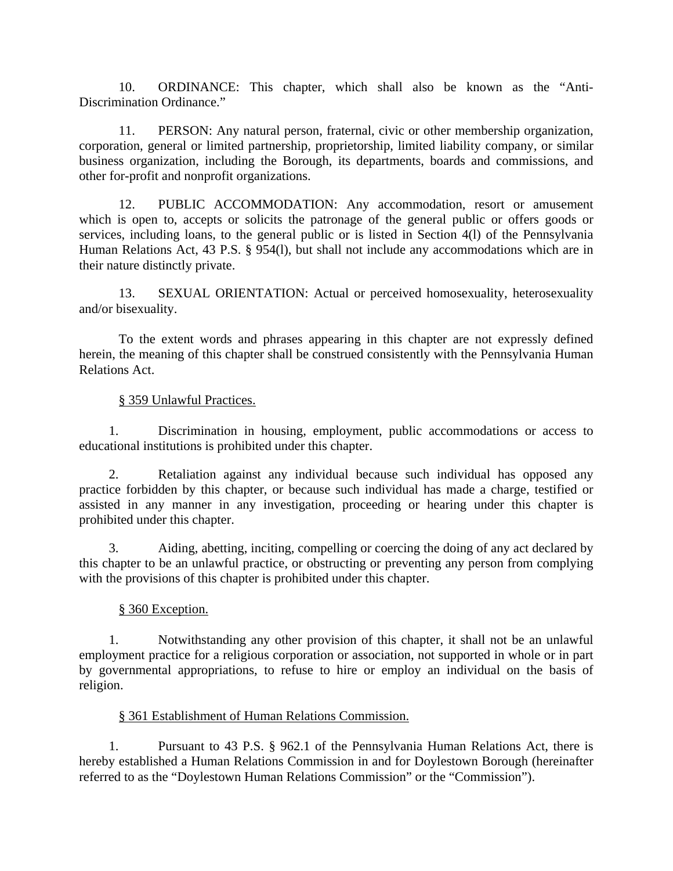10. ORDINANCE: This chapter, which shall also be known as the "Anti-Discrimination Ordinance."

11. PERSON: Any natural person, fraternal, civic or other membership organization, corporation, general or limited partnership, proprietorship, limited liability company, or similar business organization, including the Borough, its departments, boards and commissions, and other for-profit and nonprofit organizations.

12. PUBLIC ACCOMMODATION: Any accommodation, resort or amusement which is open to, accepts or solicits the patronage of the general public or offers goods or services, including loans, to the general public or is listed in Section 4(l) of the Pennsylvania Human Relations Act, 43 P.S. § 954(l), but shall not include any accommodations which are in their nature distinctly private.

13. SEXUAL ORIENTATION: Actual or perceived homosexuality, heterosexuality and/or bisexuality.

To the extent words and phrases appearing in this chapter are not expressly defined herein, the meaning of this chapter shall be construed consistently with the Pennsylvania Human Relations Act.

### § 359 Unlawful Practices.

1. Discrimination in housing, employment, public accommodations or access to educational institutions is prohibited under this chapter.

2. Retaliation against any individual because such individual has opposed any practice forbidden by this chapter, or because such individual has made a charge, testified or assisted in any manner in any investigation, proceeding or hearing under this chapter is prohibited under this chapter.

3. Aiding, abetting, inciting, compelling or coercing the doing of any act declared by this chapter to be an unlawful practice, or obstructing or preventing any person from complying with the provisions of this chapter is prohibited under this chapter.

### § 360 Exception.

1. Notwithstanding any other provision of this chapter, it shall not be an unlawful employment practice for a religious corporation or association, not supported in whole or in part by governmental appropriations, to refuse to hire or employ an individual on the basis of religion.

### § 361 Establishment of Human Relations Commission.

1. Pursuant to 43 P.S. § 962.1 of the Pennsylvania Human Relations Act, there is hereby established a Human Relations Commission in and for Doylestown Borough (hereinafter referred to as the "Doylestown Human Relations Commission" or the "Commission").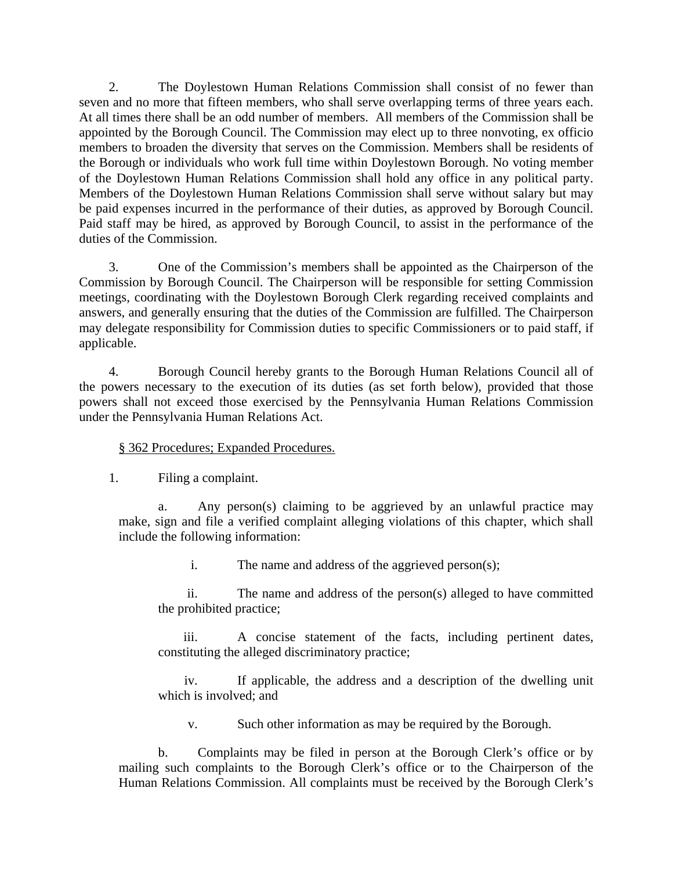2. The Doylestown Human Relations Commission shall consist of no fewer than seven and no more that fifteen members, who shall serve overlapping terms of three years each. At all times there shall be an odd number of members. All members of the Commission shall be appointed by the Borough Council. The Commission may elect up to three nonvoting, ex officio members to broaden the diversity that serves on the Commission. Members shall be residents of the Borough or individuals who work full time within Doylestown Borough. No voting member of the Doylestown Human Relations Commission shall hold any office in any political party. Members of the Doylestown Human Relations Commission shall serve without salary but may be paid expenses incurred in the performance of their duties, as approved by Borough Council. Paid staff may be hired, as approved by Borough Council, to assist in the performance of the duties of the Commission.

3. One of the Commission's members shall be appointed as the Chairperson of the Commission by Borough Council. The Chairperson will be responsible for setting Commission meetings, coordinating with the Doylestown Borough Clerk regarding received complaints and answers, and generally ensuring that the duties of the Commission are fulfilled. The Chairperson may delegate responsibility for Commission duties to specific Commissioners or to paid staff, if applicable.

4. Borough Council hereby grants to the Borough Human Relations Council all of the powers necessary to the execution of its duties (as set forth below), provided that those powers shall not exceed those exercised by the Pennsylvania Human Relations Commission under the Pennsylvania Human Relations Act.

# § 362 Procedures; Expanded Procedures.

1. Filing a complaint.

Any person(s) claiming to be aggrieved by an unlawful practice may make, sign and file a verified complaint alleging violations of this chapter, which shall include the following information:

i. The name and address of the aggrieved person(s);

ii. The name and address of the person(s) alleged to have committed the prohibited practice;

iii. A concise statement of the facts, including pertinent dates, constituting the alleged discriminatory practice;

iv. If applicable, the address and a description of the dwelling unit which is involved; and

v. Such other information as may be required by the Borough.

b. Complaints may be filed in person at the Borough Clerk's office or by mailing such complaints to the Borough Clerk's office or to the Chairperson of the Human Relations Commission. All complaints must be received by the Borough Clerk's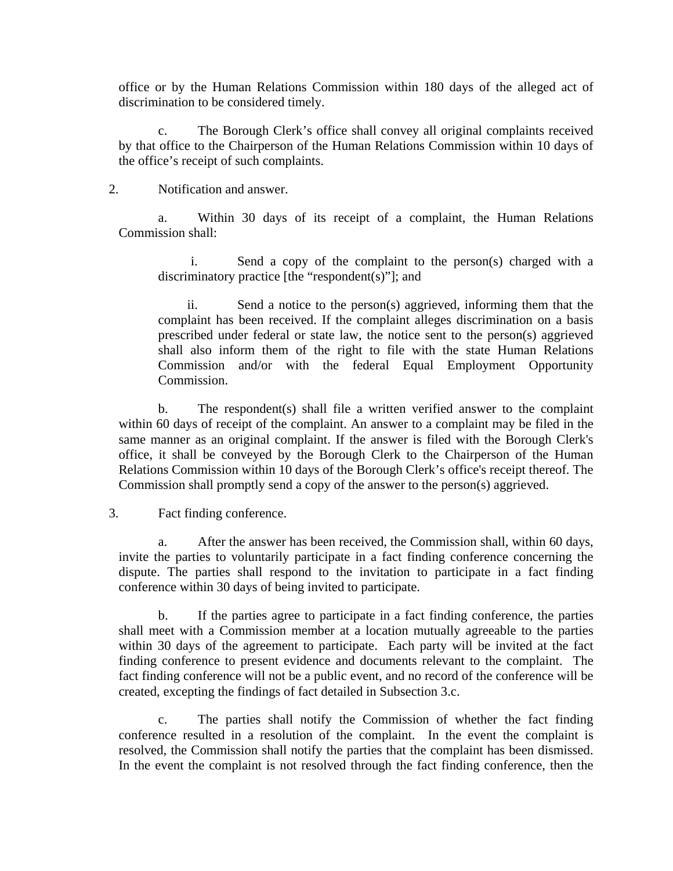office or by the Human Relations Commission within 180 days of the alleged act of discrimination to be considered timely.

c. The Borough Clerk's office shall convey all original complaints received by that office to the Chairperson of the Human Relations Commission within 10 days of the office's receipt of such complaints.

### 2. Notification and answer.

a. Within 30 days of its receipt of a complaint, the Human Relations Commission shall:

i. Send a copy of the complaint to the person(s) charged with a discriminatory practice [the "respondent(s)"]; and

ii. Send a notice to the person(s) aggrieved, informing them that the complaint has been received. If the complaint alleges discrimination on a basis prescribed under federal or state law, the notice sent to the person(s) aggrieved shall also inform them of the right to file with the state Human Relations Commission and/or with the federal Equal Employment Opportunity Commission.

b. The respondent(s) shall file a written verified answer to the complaint within 60 days of receipt of the complaint. An answer to a complaint may be filed in the same manner as an original complaint. If the answer is filed with the Borough Clerk's office, it shall be conveyed by the Borough Clerk to the Chairperson of the Human Relations Commission within 10 days of the Borough Clerk's office's receipt thereof. The Commission shall promptly send a copy of the answer to the person(s) aggrieved.

### 3. Fact finding conference.

a. After the answer has been received, the Commission shall, within 60 days, invite the parties to voluntarily participate in a fact finding conference concerning the dispute. The parties shall respond to the invitation to participate in a fact finding conference within 30 days of being invited to participate.

b. If the parties agree to participate in a fact finding conference, the parties shall meet with a Commission member at a location mutually agreeable to the parties within 30 days of the agreement to participate. Each party will be invited at the fact finding conference to present evidence and documents relevant to the complaint. The fact finding conference will not be a public event, and no record of the conference will be created, excepting the findings of fact detailed in Subsection 3.c.

c. The parties shall notify the Commission of whether the fact finding conference resulted in a resolution of the complaint. In the event the complaint is resolved, the Commission shall notify the parties that the complaint has been dismissed. In the event the complaint is not resolved through the fact finding conference, then the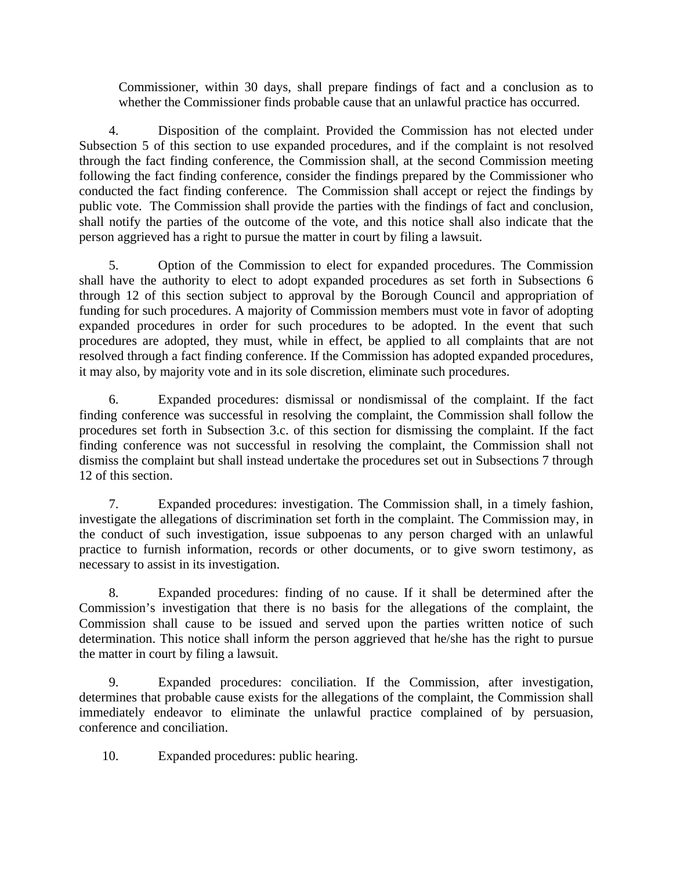Commissioner, within 30 days, shall prepare findings of fact and a conclusion as to whether the Commissioner finds probable cause that an unlawful practice has occurred.

4. Disposition of the complaint. Provided the Commission has not elected under Subsection 5 of this section to use expanded procedures, and if the complaint is not resolved through the fact finding conference, the Commission shall, at the second Commission meeting following the fact finding conference, consider the findings prepared by the Commissioner who conducted the fact finding conference. The Commission shall accept or reject the findings by public vote. The Commission shall provide the parties with the findings of fact and conclusion, shall notify the parties of the outcome of the vote, and this notice shall also indicate that the person aggrieved has a right to pursue the matter in court by filing a lawsuit.

5. Option of the Commission to elect for expanded procedures. The Commission shall have the authority to elect to adopt expanded procedures as set forth in Subsections 6 through 12 of this section subject to approval by the Borough Council and appropriation of funding for such procedures. A majority of Commission members must vote in favor of adopting expanded procedures in order for such procedures to be adopted. In the event that such procedures are adopted, they must, while in effect, be applied to all complaints that are not resolved through a fact finding conference. If the Commission has adopted expanded procedures, it may also, by majority vote and in its sole discretion, eliminate such procedures.

6. Expanded procedures: dismissal or nondismissal of the complaint. If the fact finding conference was successful in resolving the complaint, the Commission shall follow the procedures set forth in Subsection 3.c. of this section for dismissing the complaint. If the fact finding conference was not successful in resolving the complaint, the Commission shall not dismiss the complaint but shall instead undertake the procedures set out in Subsections 7 through 12 of this section.

7. Expanded procedures: investigation. The Commission shall, in a timely fashion, investigate the allegations of discrimination set forth in the complaint. The Commission may, in the conduct of such investigation, issue subpoenas to any person charged with an unlawful practice to furnish information, records or other documents, or to give sworn testimony, as necessary to assist in its investigation.

8. Expanded procedures: finding of no cause. If it shall be determined after the Commission's investigation that there is no basis for the allegations of the complaint, the Commission shall cause to be issued and served upon the parties written notice of such determination. This notice shall inform the person aggrieved that he/she has the right to pursue the matter in court by filing a lawsuit.

9. Expanded procedures: conciliation. If the Commission, after investigation, determines that probable cause exists for the allegations of the complaint, the Commission shall immediately endeavor to eliminate the unlawful practice complained of by persuasion, conference and conciliation.

10. Expanded procedures: public hearing.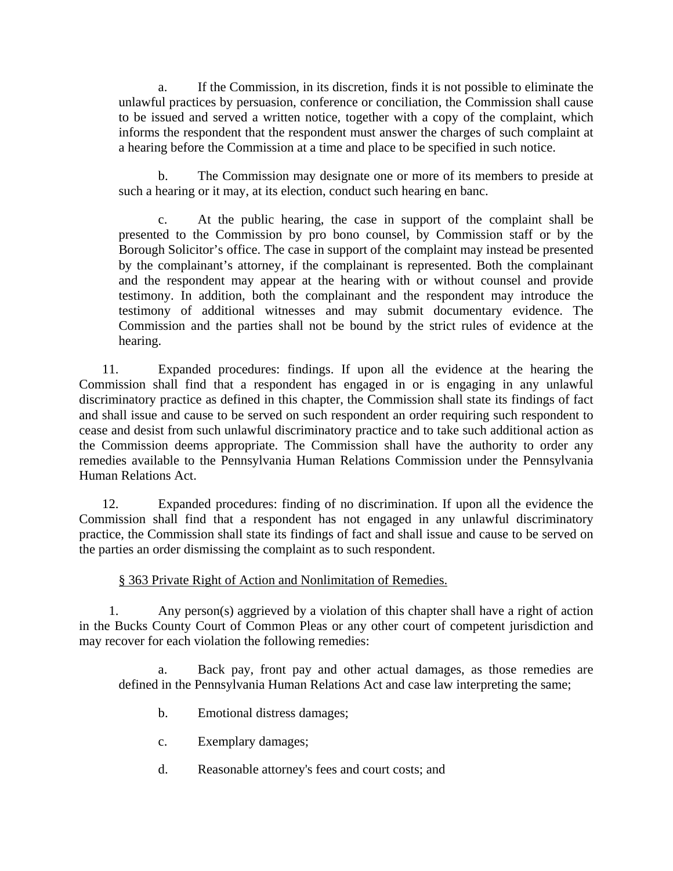a. If the Commission, in its discretion, finds it is not possible to eliminate the unlawful practices by persuasion, conference or conciliation, the Commission shall cause to be issued and served a written notice, together with a copy of the complaint, which informs the respondent that the respondent must answer the charges of such complaint at a hearing before the Commission at a time and place to be specified in such notice.

b. The Commission may designate one or more of its members to preside at such a hearing or it may, at its election, conduct such hearing en banc.

c. At the public hearing, the case in support of the complaint shall be presented to the Commission by pro bono counsel, by Commission staff or by the Borough Solicitor's office. The case in support of the complaint may instead be presented by the complainant's attorney, if the complainant is represented. Both the complainant and the respondent may appear at the hearing with or without counsel and provide testimony. In addition, both the complainant and the respondent may introduce the testimony of additional witnesses and may submit documentary evidence. The Commission and the parties shall not be bound by the strict rules of evidence at the hearing.

11. Expanded procedures: findings. If upon all the evidence at the hearing the Commission shall find that a respondent has engaged in or is engaging in any unlawful discriminatory practice as defined in this chapter, the Commission shall state its findings of fact and shall issue and cause to be served on such respondent an order requiring such respondent to cease and desist from such unlawful discriminatory practice and to take such additional action as the Commission deems appropriate. The Commission shall have the authority to order any remedies available to the Pennsylvania Human Relations Commission under the Pennsylvania Human Relations Act.

12. Expanded procedures: finding of no discrimination. If upon all the evidence the Commission shall find that a respondent has not engaged in any unlawful discriminatory practice, the Commission shall state its findings of fact and shall issue and cause to be served on the parties an order dismissing the complaint as to such respondent.

### § 363 Private Right of Action and Nonlimitation of Remedies.

1. Any person(s) aggrieved by a violation of this chapter shall have a right of action in the Bucks County Court of Common Pleas or any other court of competent jurisdiction and may recover for each violation the following remedies:

Back pay, front pay and other actual damages, as those remedies are defined in the Pennsylvania Human Relations Act and case law interpreting the same;

- b. Emotional distress damages;
- c. Exemplary damages;
- d. Reasonable attorney's fees and court costs; and